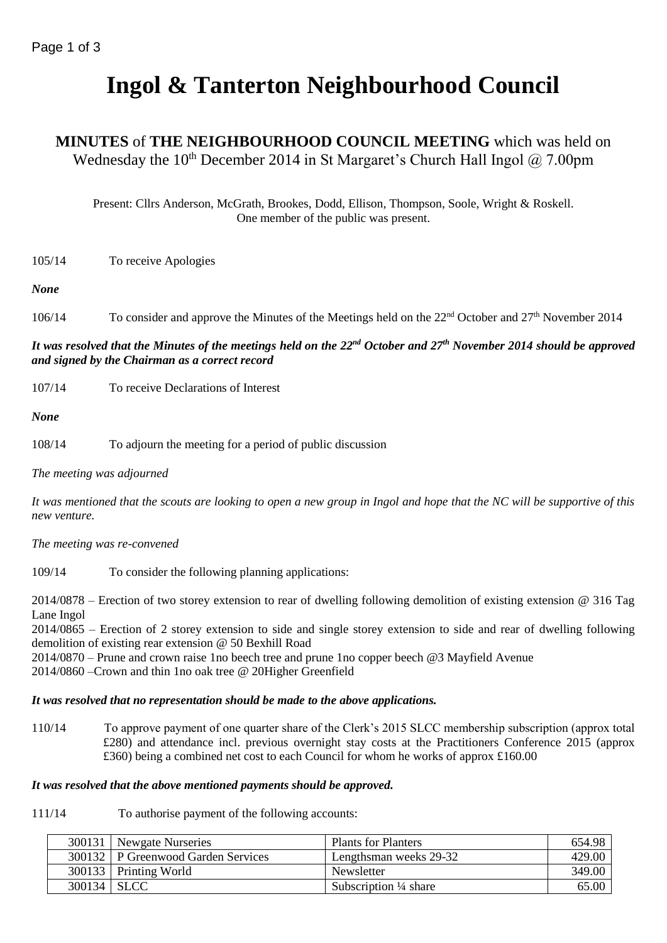# **Ingol & Tanterton Neighbourhood Council**

# **MINUTES** of **THE NEIGHBOURHOOD COUNCIL MEETING** which was held on Wednesday the 10<sup>th</sup> December 2014 in St Margaret's Church Hall Ingol  $@$  7.00pm

Present: Cllrs Anderson, McGrath, Brookes, Dodd, Ellison, Thompson, Soole, Wright & Roskell. One member of the public was present.

105/14 To receive Apologies

#### *None*

106/14 To consider and approve the Minutes of the Meetings held on the 22<sup>nd</sup> October and 27<sup>th</sup> November 2014

# *It was resolved that the Minutes of the meetings held on the 22nd October and 27th November 2014 should be approved and signed by the Chairman as a correct record*

107/14 To receive Declarations of Interest

*None*

108/14 To adjourn the meeting for a period of public discussion

*The meeting was adjourned*

*It was mentioned that the scouts are looking to open a new group in Ingol and hope that the NC will be supportive of this new venture.*

*The meeting was re-convened*

109/14 To consider the following planning applications:

2014/0878 – Erection of two storey extension to rear of dwelling following demolition of existing extension @ 316 Tag Lane Ingol

2014/0865 – Erection of 2 storey extension to side and single storey extension to side and rear of dwelling following demolition of existing rear extension @ 50 Bexhill Road

2014/0870 – Prune and crown raise 1no beech tree and prune 1no copper beech @3 Mayfield Avenue 2014/0860 –Crown and thin 1no oak tree @ 20Higher Greenfield

#### *It was resolved that no representation should be made to the above applications.*

110/14 To approve payment of one quarter share of the Clerk's 2015 SLCC membership subscription (approx total £280) and attendance incl. previous overnight stay costs at the Practitioners Conference 2015 (approx £360) being a combined net cost to each Council for whom he works of approx £160.00

#### *It was resolved that the above mentioned payments should be approved.*

111/14 To authorise payment of the following accounts:

|               | 300131   Newgate Nurseries         | Plants for Planters              | 654.98 |
|---------------|------------------------------------|----------------------------------|--------|
|               | 300132 P Greenwood Garden Services | Lengthsman weeks 29-32           | 429.00 |
|               | 300133   Printing World            | Newsletter                       | 349.00 |
| $300134$ SLCC |                                    | Subscription $\frac{1}{4}$ share | 65.00  |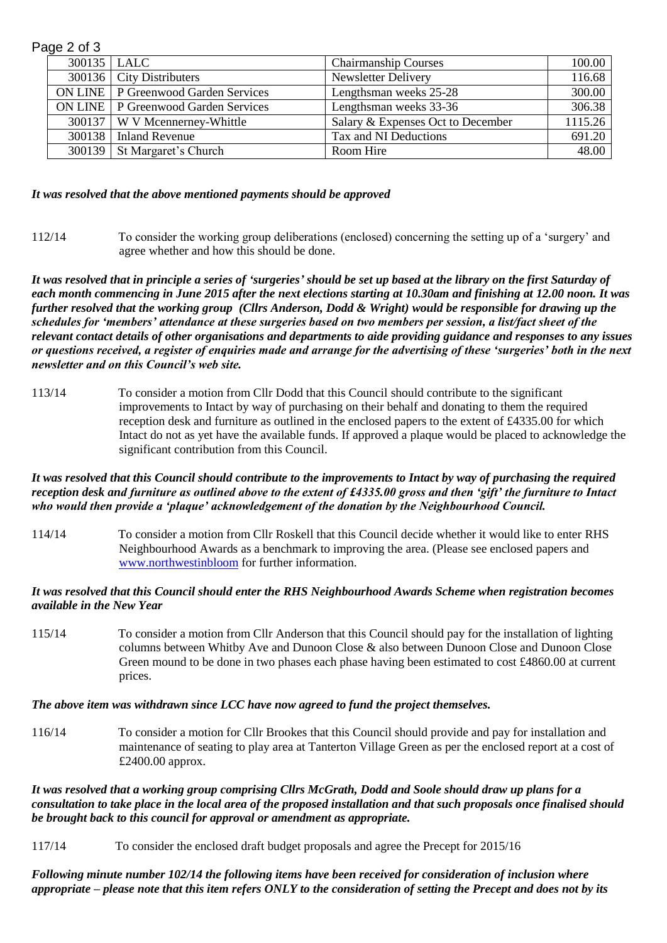| Page 2 of 3   |                                              |                                   |         |  |  |  |
|---------------|----------------------------------------------|-----------------------------------|---------|--|--|--|
| 300135   LALC |                                              | <b>Chairmanship Courses</b>       | 100.00  |  |  |  |
|               | 300136   City Distributers                   | Newsletter Delivery               | 116.68  |  |  |  |
|               | <b>ON LINE</b>   P Greenwood Garden Services | Lengthsman weeks 25-28            | 300.00  |  |  |  |
|               | <b>ON LINE</b>   P Greenwood Garden Services | Lengthsman weeks 33-36            | 306.38  |  |  |  |
|               | 300137   W V Mcennerney-Whittle              | Salary & Expenses Oct to December | 1115.26 |  |  |  |
|               | 300138   Inland Revenue                      | Tax and NI Deductions             | 691.20  |  |  |  |
|               | 300139   St Margaret's Church                | Room Hire                         | 48.00   |  |  |  |

#### *It was resolved that the above mentioned payments should be approved*

112/14 To consider the working group deliberations (enclosed) concerning the setting up of a 'surgery' and agree whether and how this should be done.

*It was resolved that in principle a series of 'surgeries' should be set up based at the library on the first Saturday of each month commencing in June 2015 after the next elections starting at 10.30am and finishing at 12.00 noon. It was further resolved that the working group (Cllrs Anderson, Dodd & Wright) would be responsible for drawing up the schedules for 'members' attendance at these surgeries based on two members per session, a list/fact sheet of the relevant contact details of other organisations and departments to aide providing guidance and responses to any issues or questions received, a register of enquiries made and arrange for the advertising of these 'surgeries' both in the next newsletter and on this Council's web site.*

113/14 To consider a motion from Cllr Dodd that this Council should contribute to the significant improvements to Intact by way of purchasing on their behalf and donating to them the required reception desk and furniture as outlined in the enclosed papers to the extent of £4335.00 for which Intact do not as yet have the available funds. If approved a plaque would be placed to acknowledge the significant contribution from this Council.

#### *It was resolved that this Council should contribute to the improvements to Intact by way of purchasing the required reception desk and furniture as outlined above to the extent of £4335.00 gross and then 'gift' the furniture to Intact who would then provide a 'plaque' acknowledgement of the donation by the Neighbourhood Council.*

114/14 To consider a motion from Cllr Roskell that this Council decide whether it would like to enter RHS Neighbourhood Awards as a benchmark to improving the area. (Please see enclosed papers and [www.northwestinbloom](http://www.northwestinbloom/) for further information.

#### *It was resolved that this Council should enter the RHS Neighbourhood Awards Scheme when registration becomes available in the New Year*

115/14 To consider a motion from Cllr Anderson that this Council should pay for the installation of lighting columns between Whitby Ave and Dunoon Close & also between Dunoon Close and Dunoon Close Green mound to be done in two phases each phase having been estimated to cost £4860.00 at current prices.

## *The above item was withdrawn since LCC have now agreed to fund the project themselves.*

116/14 To consider a motion for Cllr Brookes that this Council should provide and pay for installation and maintenance of seating to play area at Tanterton Village Green as per the enclosed report at a cost of £2400.00 approx.

*It was resolved that a working group comprising Cllrs McGrath, Dodd and Soole should draw up plans for a consultation to take place in the local area of the proposed installation and that such proposals once finalised should be brought back to this council for approval or amendment as appropriate.*

117/14 To consider the enclosed draft budget proposals and agree the Precept for 2015/16

*Following minute number 102/14 the following items have been received for consideration of inclusion where appropriate – please note that this item refers ONLY to the consideration of setting the Precept and does not by its*